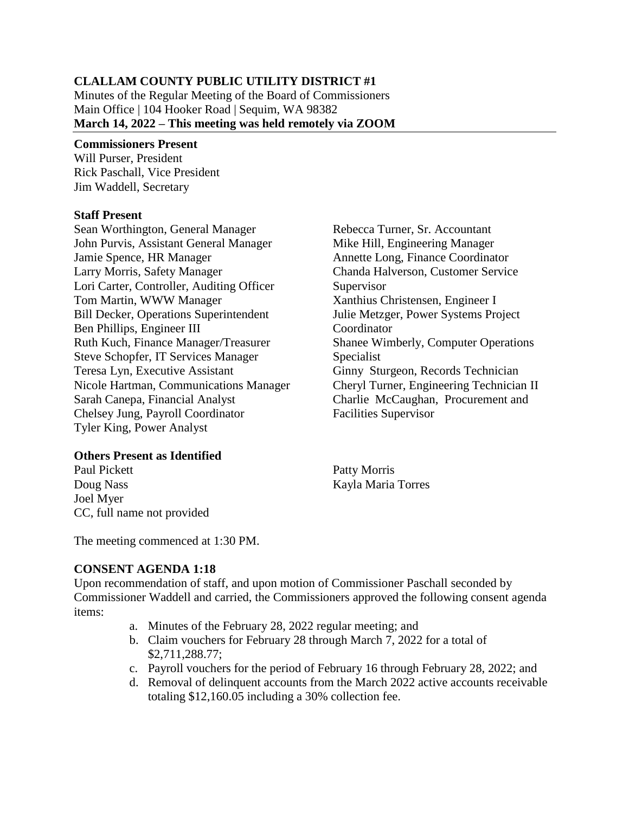#### **CLALLAM COUNTY PUBLIC UTILITY DISTRICT #1**

Minutes of the Regular Meeting of the Board of Commissioners Main Office | 104 Hooker Road | Sequim, WA 98382 **March 14, 2022 – This meeting was held remotely via ZOOM**

#### **Commissioners Present**

Will Purser, President Rick Paschall, Vice President Jim Waddell, Secretary

#### **Staff Present**

Sean Worthington, General Manager John Purvis, Assistant General Manager Jamie Spence, HR Manager Larry Morris, Safety Manager Lori Carter, Controller, Auditing Officer Tom Martin, WWW Manager Bill Decker, Operations Superintendent Ben Phillips, Engineer III Ruth Kuch, Finance Manager/Treasurer Steve Schopfer, IT Services Manager Teresa Lyn, Executive Assistant Nicole Hartman, Communications Manager Sarah Canepa, Financial Analyst Chelsey Jung, Payroll Coordinator Tyler King, Power Analyst

## **Others Present as Identified**

Paul Pickett Doug Nass Joel Myer CC, full name not provided

Rebecca Turner, Sr. Accountant Mike Hill, Engineering Manager Annette Long, Finance Coordinator Chanda Halverson, Customer Service Supervisor Xanthius Christensen, Engineer I Julie Metzger, Power Systems Project **Coordinator** Shanee Wimberly, Computer Operations Specialist Ginny Sturgeon, Records Technician Cheryl Turner, Engineering Technician II Charlie McCaughan, Procurement and Facilities Supervisor

Patty Morris Kayla Maria Torres

The meeting commenced at 1:30 PM.

## **CONSENT AGENDA 1:18**

Upon recommendation of staff, and upon motion of Commissioner Paschall seconded by Commissioner Waddell and carried, the Commissioners approved the following consent agenda items:

- a. Minutes of the February 28, 2022 regular meeting; and
- b. Claim vouchers for February 28 through March 7, 2022 for a total of \$2,711,288.77;
- c. Payroll vouchers for the period of February 16 through February 28, 2022; and
- d. Removal of delinquent accounts from the March 2022 active accounts receivable totaling \$12,160.05 including a 30% collection fee.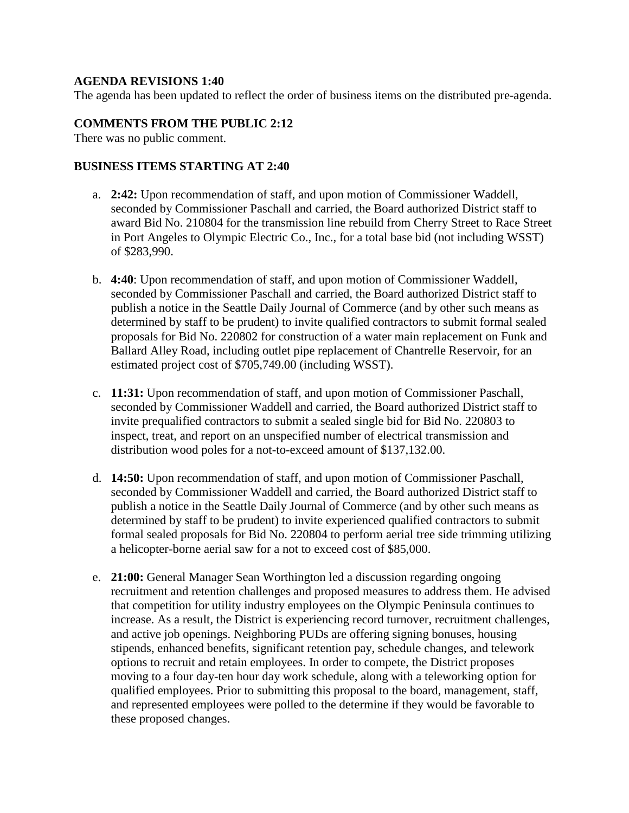#### **AGENDA REVISIONS 1:40**

The agenda has been updated to reflect the order of business items on the distributed pre-agenda.

#### **COMMENTS FROM THE PUBLIC 2:12**

There was no public comment.

#### **BUSINESS ITEMS STARTING AT 2:40**

- a. **2:42:** Upon recommendation of staff, and upon motion of Commissioner Waddell, seconded by Commissioner Paschall and carried, the Board authorized District staff to award Bid No. 210804 for the transmission line rebuild from Cherry Street to Race Street in Port Angeles to Olympic Electric Co., Inc., for a total base bid (not including WSST) of \$283,990.
- b. **4:40**: Upon recommendation of staff, and upon motion of Commissioner Waddell, seconded by Commissioner Paschall and carried, the Board authorized District staff to publish a notice in the Seattle Daily Journal of Commerce (and by other such means as determined by staff to be prudent) to invite qualified contractors to submit formal sealed proposals for Bid No. 220802 for construction of a water main replacement on Funk and Ballard Alley Road, including outlet pipe replacement of Chantrelle Reservoir, for an estimated project cost of \$705,749.00 (including WSST).
- c. **11:31:** Upon recommendation of staff, and upon motion of Commissioner Paschall, seconded by Commissioner Waddell and carried, the Board authorized District staff to invite prequalified contractors to submit a sealed single bid for Bid No. 220803 to inspect, treat, and report on an unspecified number of electrical transmission and distribution wood poles for a not-to-exceed amount of \$137,132.00.
- d. **14:50:** Upon recommendation of staff, and upon motion of Commissioner Paschall, seconded by Commissioner Waddell and carried, the Board authorized District staff to publish a notice in the Seattle Daily Journal of Commerce (and by other such means as determined by staff to be prudent) to invite experienced qualified contractors to submit formal sealed proposals for Bid No. 220804 to perform aerial tree side trimming utilizing a helicopter-borne aerial saw for a not to exceed cost of \$85,000.
- e. **21:00:** General Manager Sean Worthington led a discussion regarding ongoing recruitment and retention challenges and proposed measures to address them. He advised that competition for utility industry employees on the Olympic Peninsula continues to increase. As a result, the District is experiencing record turnover, recruitment challenges, and active job openings. Neighboring PUDs are offering signing bonuses, housing stipends, enhanced benefits, significant retention pay, schedule changes, and telework options to recruit and retain employees. In order to compete, the District proposes moving to a four day-ten hour day work schedule, along with a teleworking option for qualified employees. Prior to submitting this proposal to the board, management, staff, and represented employees were polled to the determine if they would be favorable to these proposed changes.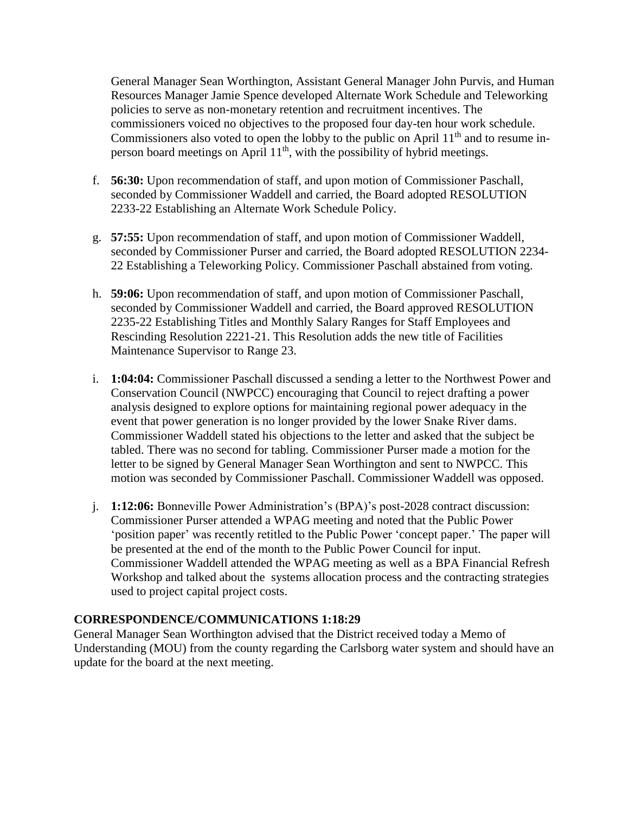General Manager Sean Worthington, Assistant General Manager John Purvis, and Human Resources Manager Jamie Spence developed Alternate Work Schedule and Teleworking policies to serve as non-monetary retention and recruitment incentives. The commissioners voiced no objectives to the proposed four day-ten hour work schedule. Commissioners also voted to open the lobby to the public on April  $11<sup>th</sup>$  and to resume inperson board meetings on April 11th, with the possibility of hybrid meetings.

- f. **56:30:** Upon recommendation of staff, and upon motion of Commissioner Paschall, seconded by Commissioner Waddell and carried, the Board adopted RESOLUTION 2233-22 Establishing an Alternate Work Schedule Policy.
- g. **57:55:** Upon recommendation of staff, and upon motion of Commissioner Waddell, seconded by Commissioner Purser and carried, the Board adopted RESOLUTION 2234- 22 Establishing a Teleworking Policy. Commissioner Paschall abstained from voting.
- h. **59:06:** Upon recommendation of staff, and upon motion of Commissioner Paschall, seconded by Commissioner Waddell and carried, the Board approved RESOLUTION 2235-22 Establishing Titles and Monthly Salary Ranges for Staff Employees and Rescinding Resolution 2221-21. This Resolution adds the new title of Facilities Maintenance Supervisor to Range 23.
- i. **1:04:04:** Commissioner Paschall discussed a sending a letter to the Northwest Power and Conservation Council (NWPCC) encouraging that Council to reject drafting a power analysis designed to explore options for maintaining regional power adequacy in the event that power generation is no longer provided by the lower Snake River dams. Commissioner Waddell stated his objections to the letter and asked that the subject be tabled. There was no second for tabling. Commissioner Purser made a motion for the letter to be signed by General Manager Sean Worthington and sent to NWPCC. This motion was seconded by Commissioner Paschall. Commissioner Waddell was opposed.
- j. **1:12:06:** Bonneville Power Administration's (BPA)'s post-2028 contract discussion: Commissioner Purser attended a WPAG meeting and noted that the Public Power 'position paper' was recently retitled to the Public Power 'concept paper.' The paper will be presented at the end of the month to the Public Power Council for input. Commissioner Waddell attended the WPAG meeting as well as a BPA Financial Refresh Workshop and talked about the systems allocation process and the contracting strategies used to project capital project costs.

## **CORRESPONDENCE/COMMUNICATIONS 1:18:29**

General Manager Sean Worthington advised that the District received today a Memo of Understanding (MOU) from the county regarding the Carlsborg water system and should have an update for the board at the next meeting.